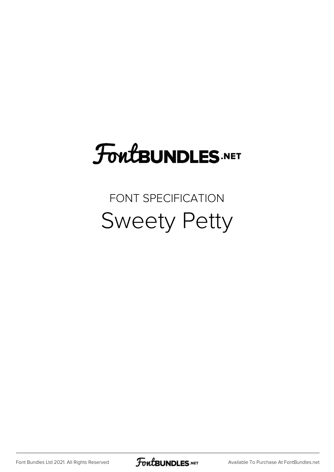# **FoutBUNDLES.NET**

## FONT SPECIFICATION Sweety Petty

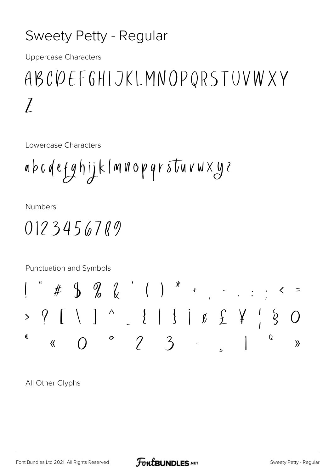#### Sweety Petty - Regular

**Uppercase Characters** 

## ABCOEFGHIJKLMNOPQRSTUVWXY  $\overline{I}$

Lowercase Characters

$$
a b c d e fg hij k l m u o p q r s t u v w X y z
$$

**Numbers** 

### $0123456789$

Punctuation and Symbols

All Other Glyphs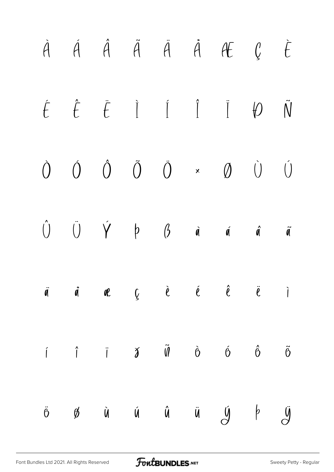|  |  |  | $\begin{array}{ccccccccccccccccc} \dot{A} & \dot{A} & \dot{A} & \ddot{A} & \ddot{A} & \dot{A} & \mathcal{H} & \mathcal{G} & \dot{E} \end{array}$                                                                                                                                                                                                                                                                                                                                                      |  |
|--|--|--|-------------------------------------------------------------------------------------------------------------------------------------------------------------------------------------------------------------------------------------------------------------------------------------------------------------------------------------------------------------------------------------------------------------------------------------------------------------------------------------------------------|--|
|  |  |  | $\label{eq:6} \acute{t} \quad \acute{t} \quad \acute{t} \quad \  \  \, \ddot{I} \qquad \acute{I} \qquad \  \  \, \ddot{I} \qquad \  \  \, \ddot{I} \qquad \  \  \, \acute{t} \qquad \qquad \tilde{N}$                                                                                                                                                                                                                                                                                                 |  |
|  |  |  | $\begin{matrix} \hat{O} & \hat{O} & \hat{O} & \tilde{O} & \times & \varnothing & \hat{O} & \hat{O} \end{matrix}$                                                                                                                                                                                                                                                                                                                                                                                      |  |
|  |  |  | $\hat{U}$ $\hat{U}$ $\hat{Y}$ $\phi$ $\hat{a}$ $\hat{a}$ $\hat{a}$ $\hat{a}$                                                                                                                                                                                                                                                                                                                                                                                                                          |  |
|  |  |  | $\ddot{\mathbf{q}}$ $\ddot{\mathbf{q}}$ $\ddot{\mathbf{q}}$ $\mathbf{q}$ $\dot{\mathbf{q}}$ $\ddot{\mathbf{q}}$ $\ddot{\mathbf{q}}$ $\ddot{\mathbf{q}}$ $\ddot{\mathbf{q}}$ $\ddot{\mathbf{q}}$ $\ddot{\mathbf{q}}$ $\ddot{\mathbf{q}}$ $\ddot{\mathbf{q}}$ $\ddot{\mathbf{q}}$ $\ddot{\mathbf{q}}$ $\ddot{\mathbf{q}}$ $\ddot{\mathbf{q}}$ $\ddot{\mathbf{q}}$ $\ddot{\mathbf{q$                                                                                                                     |  |
|  |  |  | $\begin{array}{ccccccccccccccccc} \hat{\textbf{i}} & \hat{\textbf{i}} & \hat{\textbf{i}} & \hat{\textbf{j}} & \hat{\textbf{0}} & \hat{\textbf{0}} & \hat{\textbf{0}} & \hat{\textbf{0}} & \hat{\textbf{0}} & \hat{\textbf{0}} & \hat{\textbf{0}} & \hat{\textbf{0}} & \hat{\textbf{0}} & \hat{\textbf{0}} & \hat{\textbf{0}} & \hat{\textbf{0}} & \hat{\textbf{0}} & \hat{\textbf{0}} & \hat{\textbf{0}} & \hat{\textbf{0}} & \hat{\textbf{0}} & \hat{\textbf{0}} & \hat{\textbf{0}} & \hat{\textbf{$ |  |
|  |  |  | $\ddot{o}$ $\cancel{\%}$ à $\dot{u}$ $\ddot{u}$ $\ddot{u}$ $\cancel{y}$ $\cancel{v}$                                                                                                                                                                                                                                                                                                                                                                                                                  |  |